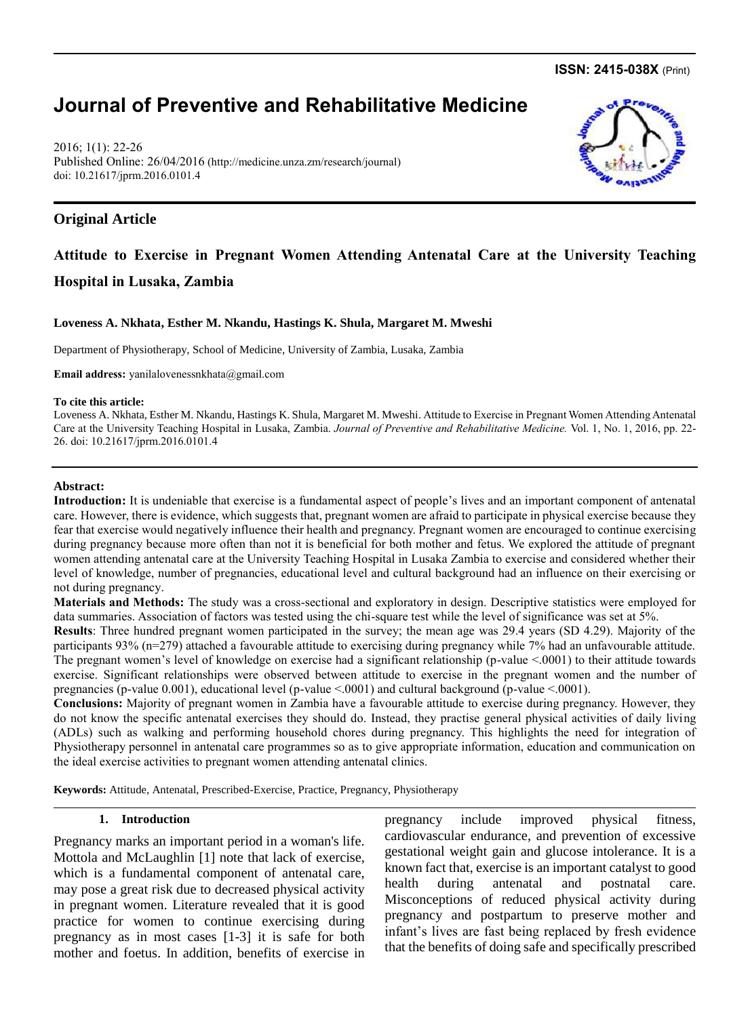**ISSN: 2415-038X** (Print)

# **Journal of Preventive and Rehabilitative Medicine**

2016; 1(1): 22-26 Published Online: 26/04/2016 [\(http://medicine.unza.zm/research/journal\)](http://medicine.unza.zm/research/journal) doi: 10.21617/jprm.2016.0101.4

# **Original Article**

# **Attitude to Exercise in Pregnant Women Attending Antenatal Care at the University Teaching Hospital in Lusaka, Zambia**

#### **Loveness A. Nkhata, Esther M. Nkandu, Hastings K. Shula, Margaret M. Mweshi**

Department of Physiotherapy, School of Medicine, University of Zambia, Lusaka, Zambia

**Email address:** yanilalovenessnkhata@gmail.com

#### **To cite this article:**

Loveness A. Nkhata, Esther M. Nkandu, Hastings K. Shula, Margaret M. Mweshi. Attitude to Exercise in Pregnant Women Attending Antenatal Care at the University Teaching Hospital in Lusaka, Zambia. *Journal of Preventive and Rehabilitative Medicine.* Vol. 1, No. 1, 2016, pp. 22- 26. doi: 10.21617/jprm.2016.0101.4

#### **Abstract:**

**Introduction:** It is undeniable that exercise is a fundamental aspect of people's lives and an important component of antenatal care. However, there is evidence, which suggests that, pregnant women are afraid to participate in physical exercise because they fear that exercise would negatively influence their health and pregnancy. Pregnant women are encouraged to continue exercising during pregnancy because more often than not it is beneficial for both mother and fetus. We explored the attitude of pregnant women attending antenatal care at the University Teaching Hospital in Lusaka Zambia to exercise and considered whether their level of knowledge, number of pregnancies, educational level and cultural background had an influence on their exercising or not during pregnancy.

**Materials and Methods:** The study was a cross-sectional and exploratory in design. Descriptive statistics were employed for data summaries. Association of factors was tested using the chi-square test while the level of significance was set at 5%.

**Results**: Three hundred pregnant women participated in the survey; the mean age was 29.4 years (SD 4.29). Majority of the participants 93% (n=279) attached a favourable attitude to exercising during pregnancy while 7% had an unfavourable attitude. The pregnant women's level of knowledge on exercise had a significant relationship (p-value  $< 0001$ ) to their attitude towards exercise. Significant relationships were observed between attitude to exercise in the pregnant women and the number of pregnancies (p-value 0.001), educational level (p-value <.0001) and cultural background (p-value <.0001).

**Conclusions:** Majority of pregnant women in Zambia have a favourable attitude to exercise during pregnancy. However, they do not know the specific antenatal exercises they should do. Instead, they practise general physical activities of daily living (ADLs) such as walking and performing household chores during pregnancy. This highlights the need for integration of Physiotherapy personnel in antenatal care programmes so as to give appropriate information, education and communication on the ideal exercise activities to pregnant women attending antenatal clinics.

**Keywords:** Attitude, Antenatal, Prescribed-Exercise, Practice, Pregnancy, Physiotherapy

#### **1. Introduction**

Pregnancy marks an important period in a woman's life. Mottola and McLaughlin [1] note that lack of exercise, which is a fundamental component of antenatal care, may pose a great risk due to decreased physical activity in pregnant women. Literature revealed that it is good practice for women to continue exercising during pregnancy as in most cases [1-3] it is safe for both mother and foetus. In addition, benefits of exercise in pregnancy include improved physical fitness, cardiovascular endurance, and prevention of excessive gestational weight gain and glucose intolerance. It is a known fact that, exercise is an important catalyst to good health during antenatal and postnatal care. Misconceptions of reduced physical activity during pregnancy and postpartum to preserve mother and infant's lives are fast being replaced by fresh evidence that the benefits of doing safe and specifically prescribed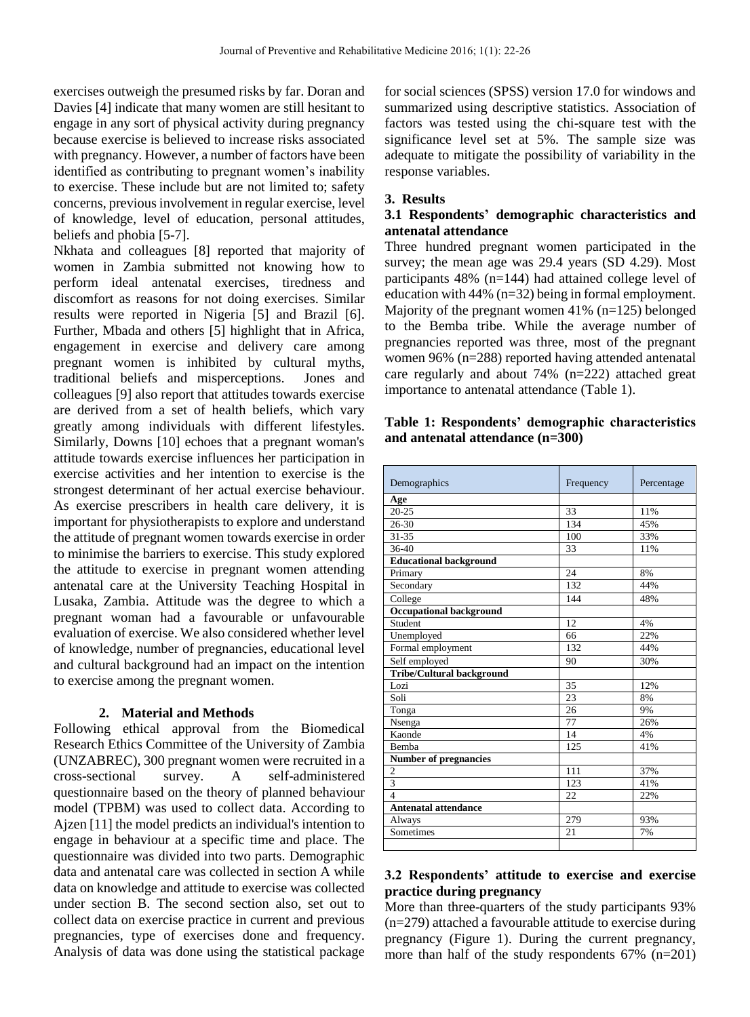exercises outweigh the presumed risks by far. Doran and Davies [4] indicate that many women are still hesitant to engage in any sort of physical activity during pregnancy because exercise is believed to increase risks associated with pregnancy. However, a number of factors have been identified as contributing to pregnant women's inability to exercise. These include but are not limited to; safety concerns, previous involvement in regular exercise, level of knowledge, level of education, personal attitudes, beliefs and phobia [5-7].

Nkhata and colleagues [8] reported that majority of women in Zambia submitted not knowing how to perform ideal antenatal exercises, tiredness and discomfort as reasons for not doing exercises. Similar results were reported in Nigeria [5] and Brazil [6]. Further, Mbada and others [5] highlight that in Africa, engagement in exercise and delivery care among pregnant women is inhibited by cultural myths, traditional beliefs and misperceptions. Jones and colleagues [9] also report that attitudes towards exercise are derived from a set of health beliefs, which vary greatly among individuals with different lifestyles. Similarly, Downs [10] echoes that a pregnant woman's attitude towards exercise influences her participation in exercise activities and her intention to exercise is the strongest determinant of her actual exercise behaviour. As exercise prescribers in health care delivery, it is important for physiotherapists to explore and understand the attitude of pregnant women towards exercise in order to minimise the barriers to exercise. This study explored the attitude to exercise in pregnant women attending antenatal care at the University Teaching Hospital in Lusaka, Zambia. Attitude was the degree to which a pregnant woman had a favourable or unfavourable evaluation of exercise. We also considered whether level of knowledge, number of pregnancies, educational level and cultural background had an impact on the intention to exercise among the pregnant women.

### **2. Material and Methods**

Following ethical approval from the Biomedical Research Ethics Committee of the University of Zambia (UNZABREC), 300 pregnant women were recruited in a cross-sectional survey. A self-administered questionnaire based on the theory of planned behaviour model (TPBM) was used to collect data. According to Ajzen [11] the model predicts an individual's intention to engage in behaviour at a specific time and place. The questionnaire was divided into two parts. Demographic data and antenatal care was collected in section A while data on knowledge and attitude to exercise was collected under section B. The second section also, set out to collect data on exercise practice in current and previous pregnancies, type of exercises done and frequency. Analysis of data was done using the statistical package

for social sciences (SPSS) version 17.0 for windows and summarized using descriptive statistics. Association of factors was tested using the chi-square test with the significance level set at 5%. The sample size was adequate to mitigate the possibility of variability in the response variables.

### **3. Results**

# **3.1 Respondents' demographic characteristics and antenatal attendance**

Three hundred pregnant women participated in the survey; the mean age was 29.4 years (SD 4.29). Most participants 48% (n=144) had attained college level of education with 44% (n=32) being in formal employment. Majority of the pregnant women 41% (n=125) belonged to the Bemba tribe. While the average number of pregnancies reported was three, most of the pregnant women 96% (n=288) reported having attended antenatal care regularly and about 74% (n=222) attached great importance to antenatal attendance (Table 1).

# **Table 1: Respondents' demographic characteristics and antenatal attendance (n=300)**

| Demographics                     | Frequency | Percentage |
|----------------------------------|-----------|------------|
| Age                              |           |            |
| $20 - 25$                        | 33        | 11%        |
| 26-30                            | 134       | 45%        |
| $31 - 35$                        | 100       | 33%        |
| $36-40$                          | 33        | 11%        |
| <b>Educational background</b>    |           |            |
| Primary                          | 24        | 8%         |
| Secondary                        | 132       | 44%        |
| College                          | 144       | 48%        |
| <b>Occupational background</b>   |           |            |
| Student                          | 12        | 4%         |
| Unemployed                       | 66        | 22%        |
| Formal employment                | 132       | 44%        |
| Self employed                    | 90        | 30%        |
| <b>Tribe/Cultural background</b> |           |            |
| Lozi                             | 35        | 12%        |
| Soli                             | 23        | 8%         |
| Tonga                            | 26        | 9%         |
| Nsenga                           | 77        | 26%        |
| Kaonde                           | 14        | 4%         |
| <b>Bemba</b>                     | 125       | 41%        |
| <b>Number of pregnancies</b>     |           |            |
| $\overline{2}$                   | 111       | 37%        |
| $\overline{3}$                   | 123       | 41%        |
| $\overline{\mathbf{A}}$          | 22        | 22%        |
| <b>Antenatal attendance</b>      |           |            |
| Always                           | 279       | 93%        |
| Sometimes                        | 21        | 7%         |
|                                  |           |            |

# **3.2 Respondents' attitude to exercise and exercise practice during pregnancy**

More than three-quarters of the study participants 93% (n=279) attached a favourable attitude to exercise during pregnancy (Figure 1). During the current pregnancy, more than half of the study respondents 67% (n=201)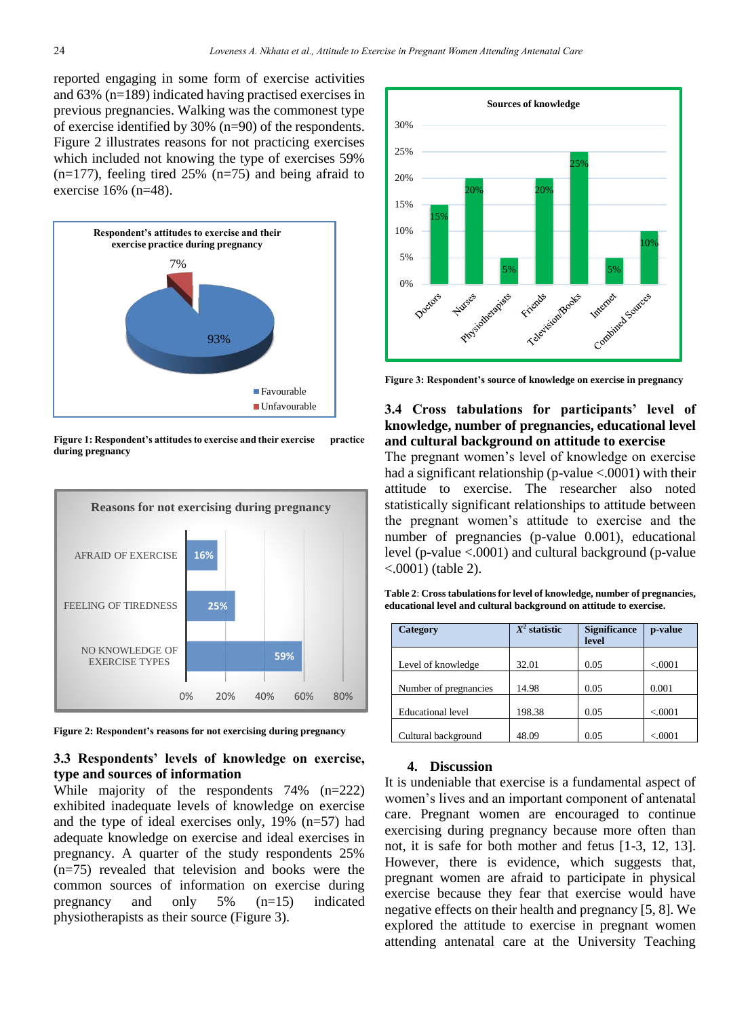reported engaging in some form of exercise activities and 63% (n=189) indicated having practised exercises in previous pregnancies. Walking was the commonest type of exercise identified by 30% (n=90) of the respondents. Figure 2 illustrates reasons for not practicing exercises which included not knowing the type of exercises 59%  $(n=177)$ , feeling tired 25%  $(n=75)$  and being afraid to exercise  $16\%$  (n=48).



**Figure 1: Respondent's attitudes to exercise and their exercise practice during pregnancy**



**Figure 2: Respondent's reasons for not exercising during pregnancy**

## **3.3 Respondents' levels of knowledge on exercise, type and sources of information**

While majority of the respondents 74% (n=222) exhibited inadequate levels of knowledge on exercise and the type of ideal exercises only, 19% (n=57) had adequate knowledge on exercise and ideal exercises in pregnancy. A quarter of the study respondents 25% (n=75) revealed that television and books were the common sources of information on exercise during pregnancy and only 5% (n=15) indicated physiotherapists as their source (Figure 3).



**Figure 3: Respondent's source of knowledge on exercise in pregnancy**

# **3.4 Cross tabulations for participants' level of knowledge, number of pregnancies, educational level and cultural background on attitude to exercise**

The pregnant women's level of knowledge on exercise had a significant relationship ( $p$ -value <.0001) with their attitude to exercise. The researcher also noted statistically significant relationships to attitude between the pregnant women's attitude to exercise and the number of pregnancies (p-value 0.001), educational level (p-value <.0001) and cultural background (p-value <.0001) (table 2).

| Category                 | $X^2$ statistic | <b>Significance</b><br>level | p-value  |
|--------------------------|-----------------|------------------------------|----------|
| Level of knowledge       | 32.01           | 0.05                         | < 0.0001 |
| Number of pregnancies    | 14.98           | 0.05                         | 0.001    |
| <b>Educational level</b> | 198.38          | 0.05                         | < 0.0001 |
| Cultural background      | 48.09           | 0.05                         | < 0.0001 |

**Table 2**: **Cross tabulations for level of knowledge, number of pregnancies, educational level and cultural background on attitude to exercise.** 

#### **4. Discussion**

It is undeniable that exercise is a fundamental aspect of women's lives and an important component of antenatal care. Pregnant women are encouraged to continue exercising during pregnancy because more often than not, it is safe for both mother and fetus [1-3, 12, 13]. However, there is evidence, which suggests that, pregnant women are afraid to participate in physical exercise because they fear that exercise would have negative effects on their health and pregnancy [5, 8]. We explored the attitude to exercise in pregnant women attending antenatal care at the University Teaching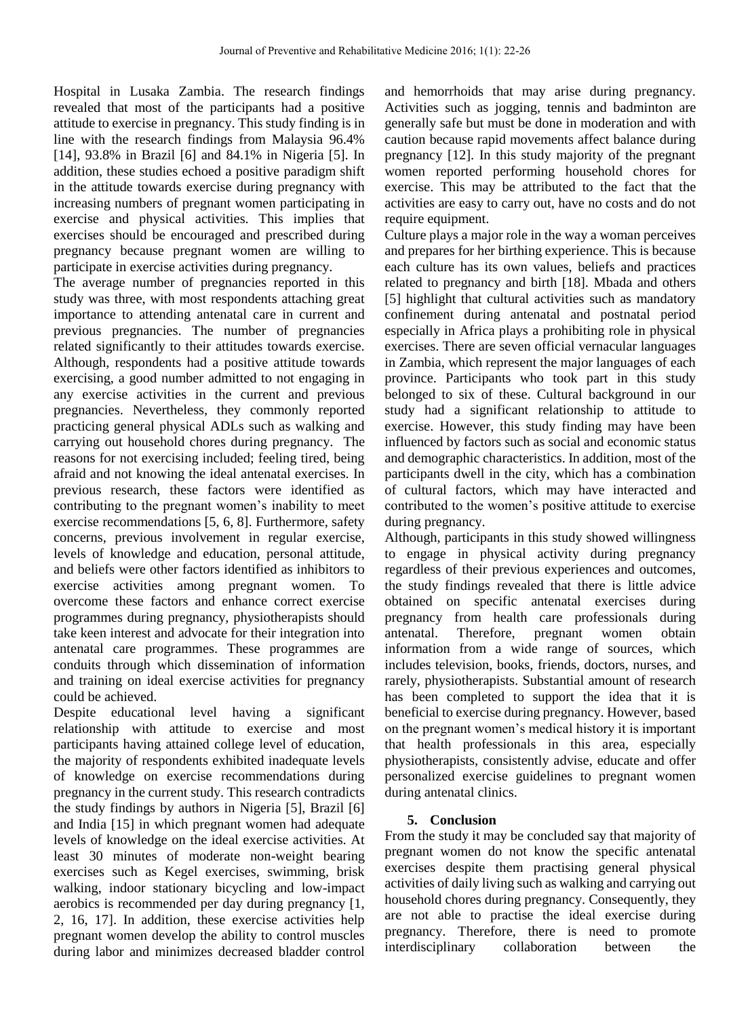Hospital in Lusaka Zambia. The research findings revealed that most of the participants had a positive attitude to exercise in pregnancy. This study finding is in line with the research findings from Malaysia 96.4% [14], 93.8% in Brazil [6] and 84.1% in Nigeria [5]. In addition, these studies echoed a positive paradigm shift in the attitude towards exercise during pregnancy with increasing numbers of pregnant women participating in exercise and physical activities. This implies that exercises should be encouraged and prescribed during pregnancy because pregnant women are willing to participate in exercise activities during pregnancy.

The average number of pregnancies reported in this study was three, with most respondents attaching great importance to attending antenatal care in current and previous pregnancies. The number of pregnancies related significantly to their attitudes towards exercise. Although, respondents had a positive attitude towards exercising, a good number admitted to not engaging in any exercise activities in the current and previous pregnancies. Nevertheless, they commonly reported practicing general physical ADLs such as walking and carrying out household chores during pregnancy. The reasons for not exercising included; feeling tired, being afraid and not knowing the ideal antenatal exercises. In previous research, these factors were identified as contributing to the pregnant women's inability to meet exercise recommendations [5, 6, 8]. Furthermore, safety concerns, previous involvement in regular exercise, levels of knowledge and education, personal attitude, and beliefs were other factors identified as inhibitors to exercise activities among pregnant women. To overcome these factors and enhance correct exercise programmes during pregnancy, physiotherapists should take keen interest and advocate for their integration into antenatal care programmes. These programmes are conduits through which dissemination of information and training on ideal exercise activities for pregnancy could be achieved.

Despite educational level having a significant relationship with attitude to exercise and most participants having attained college level of education, the majority of respondents exhibited inadequate levels of knowledge on exercise recommendations during pregnancy in the current study. This research contradicts the study findings by authors in Nigeria [5], Brazil [6] and India [15] in which pregnant women had adequate levels of knowledge on the ideal exercise activities. At least 30 minutes of moderate non-weight bearing exercises such as Kegel exercises, swimming, brisk walking, indoor stationary bicycling and low-impact aerobics is recommended per day during pregnancy [1, 2, 16, 17]. In addition, these exercise activities help pregnant women develop the ability to control muscles during labor and minimizes decreased bladder control and hemorrhoids that may arise during pregnancy. Activities such as jogging, tennis and badminton are generally safe but must be done in moderation and with caution because rapid movements affect balance during pregnancy [12]. In this study majority of the pregnant women reported performing household chores for exercise. This may be attributed to the fact that the activities are easy to carry out, have no costs and do not require equipment.

Culture plays a major role in the way a woman perceives and prepares for her birthing experience. This is because each culture has its own values, beliefs and practices related to pregnancy and birth [18]. Mbada and others [5] highlight that cultural activities such as mandatory confinement during antenatal and postnatal period especially in Africa plays a prohibiting role in physical exercises. There are seven official vernacular languages in Zambia, which represent the major languages of each province. Participants who took part in this study belonged to six of these. Cultural background in our study had a significant relationship to attitude to exercise. However, this study finding may have been influenced by factors such as social and economic status and demographic characteristics. In addition, most of the participants dwell in the city, which has a combination of cultural factors, which may have interacted and contributed to the women's positive attitude to exercise during pregnancy.

Although, participants in this study showed willingness to engage in physical activity during pregnancy regardless of their previous experiences and outcomes, the study findings revealed that there is little advice obtained on specific antenatal exercises during pregnancy from health care professionals during antenatal. Therefore, pregnant women obtain information from a wide range of sources, which includes television, books, friends, doctors, nurses, and rarely, physiotherapists. Substantial amount of research has been completed to support the idea that it is beneficial to exercise during pregnancy. However, based on the pregnant women's medical history it is important that health professionals in this area, especially physiotherapists, consistently advise, educate and offer personalized exercise guidelines to pregnant women during antenatal clinics.

# **5. Conclusion**

From the study it may be concluded say that majority of pregnant women do not know the specific antenatal exercises despite them practising general physical activities of daily living such as walking and carrying out household chores during pregnancy. Consequently, they are not able to practise the ideal exercise during pregnancy. Therefore, there is need to promote interdisciplinary collaboration between the